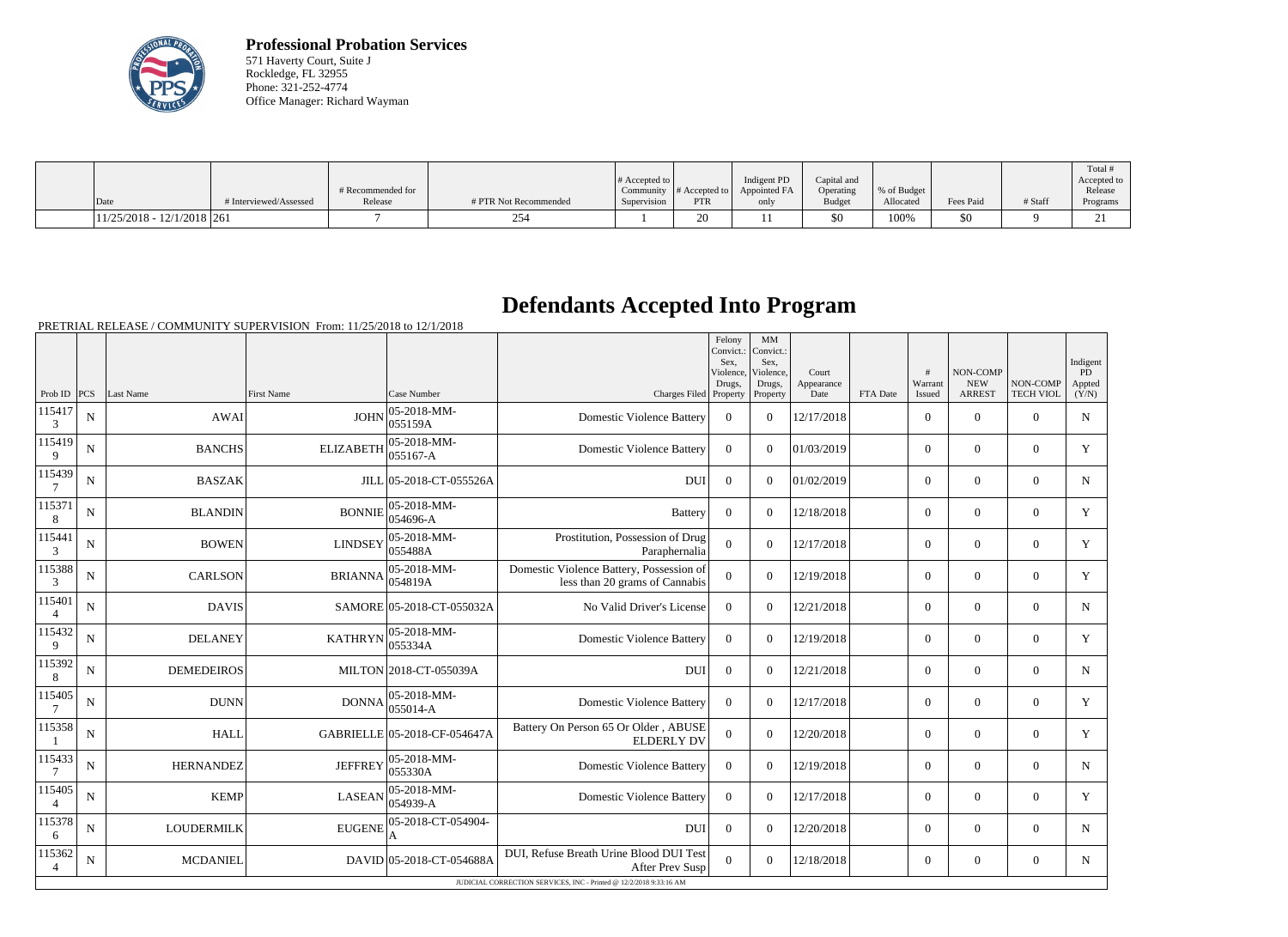

**Professional Probation Services** 571 Haverty Court, Suite J Rockledge, FL 32955 Phone: 321-252-4774 Office Manager: Richard Wayman

| $\vert$ Date                 | # Interviewed/Assessed | # Recommended for<br>Release | # PTR Not Recommended | # Accepted to | Community $\#$ Accepted to<br><b>PTR</b> | Indigent PD<br>Appointed FA | Capital and<br>Operating<br>Budget | % of Budget<br>Allocated | Fees Paid | # Staff | Total<br>Accepted to<br>Release |
|------------------------------|------------------------|------------------------------|-----------------------|---------------|------------------------------------------|-----------------------------|------------------------------------|--------------------------|-----------|---------|---------------------------------|
|                              |                        |                              |                       | Supervision   |                                          | only                        |                                    |                          |           |         | Programs                        |
| $11/25/2018 - 12/1/2018$ 261 |                        |                              |                       |               | $\mathbf{A}$                             |                             | \$0                                | 100%                     | \$0       |         | $\sim$<br>$\sim$                |

## **Defendants Accepted Into Program**

PRETRIAL RELEASE / COMMUNITY SUPERVISION From: 11/25/2018 to 12/1/2018

|                                                                    |             |                   |                   |                                    |                                                                            | Felony<br>Convict.:<br>Sex.<br>Violence, | MM<br>Convict.:<br>Sex.<br>Violence, | Court              |          | #                 | NON-COMP                    |                              | Indigent<br>PD  |
|--------------------------------------------------------------------|-------------|-------------------|-------------------|------------------------------------|----------------------------------------------------------------------------|------------------------------------------|--------------------------------------|--------------------|----------|-------------------|-----------------------------|------------------------------|-----------------|
| Prob ID $PCS$                                                      |             | Last Name         | <b>First Name</b> | Case Number                        | Charges Filed Property                                                     | Drugs,                                   | Drugs,<br>Property                   | Appearance<br>Date | FTA Date | Warrant<br>Issued | <b>NEW</b><br><b>ARREST</b> | NON-COMP<br><b>TECH VIOL</b> | Appted<br>(Y/N) |
| 115417<br>3                                                        | $\mathbf N$ | <b>AWAI</b>       | <b>JOHN</b>       | $ 05 - 2018 - MM -$<br>055159A     | <b>Domestic Violence Battery</b>                                           | $\Omega$                                 | $\Omega$                             | 12/17/2018         |          | $\Omega$          | $\Omega$                    | $\Omega$                     | N               |
| 115419<br>9                                                        | N           | <b>BANCHS</b>     | <b>ELIZABETH</b>  | 05-2018-MM-<br>$ 055167 - A$       | <b>Domestic Violence Battery</b>                                           | $\theta$                                 | $\Omega$                             | 01/03/2019         |          | $\Omega$          | $\theta$                    | $\overline{0}$               | Y               |
| 115439                                                             | N           | <b>BASZAK</b>     |                   | JILL 05-2018-CT-055526A            | <b>DUI</b>                                                                 | $\overline{0}$                           | $\Omega$                             | 01/02/2019         |          | $\overline{0}$    | $\boldsymbol{0}$            | $\overline{0}$               | $\mathbf N$     |
| 115371<br>8                                                        | N           | <b>BLANDIN</b>    | <b>BONNIE</b>     | 05-2018-MM-<br>054696-A            | <b>Battery</b>                                                             | $\overline{0}$                           | $\overline{0}$                       | 12/18/2018         |          | $\overline{0}$    | $\boldsymbol{0}$            | $\overline{0}$               | Y               |
| 115441<br>3                                                        | N           | <b>BOWEN</b>      | <b>LINDSEY</b>    | $ 05 - 2018 - MM -$<br>055488A     | Prostitution, Possession of Drug<br>Paraphernalia                          | $\theta$                                 | $\Omega$                             | 12/17/2018         |          | $\overline{0}$    | $\theta$                    | $\Omega$                     | Y               |
| 115388<br>3                                                        | N           | <b>CARLSON</b>    | <b>BRIANNA</b>    | $ 05 - 2018 - MM -$<br> 054819A    | Domestic Violence Battery, Possession of<br>less than 20 grams of Cannabis | $\overline{0}$                           | $\Omega$                             | 12/19/2018         |          | $\overline{0}$    | $\theta$                    | $\overline{0}$               | Y               |
| 115401<br>$\overline{4}$                                           | N           | <b>DAVIS</b>      |                   | SAMORE 05-2018-CT-055032A          | No Valid Driver's License                                                  | $\overline{0}$                           | $\Omega$                             | 12/21/2018         |          | $\overline{0}$    | $\theta$                    | $\Omega$                     | $\mathbf N$     |
| 115432<br>9                                                        | N           | <b>DELANEY</b>    | <b>KATHRYN</b>    | 05-2018-MM-<br>055334A             | <b>Domestic Violence Battery</b>                                           | $\overline{0}$                           | $\Omega$                             | 12/19/2018         |          | $\Omega$          | $\theta$                    | $\Omega$                     | Y               |
| 115392<br>8                                                        | N           | <b>DEMEDEIROS</b> |                   | MILTON 2018-CT-055039A             | <b>DUI</b>                                                                 | $\overline{0}$                           | $\Omega$                             | 12/21/2018         |          | $\overline{0}$    | $\boldsymbol{0}$            | $\overline{0}$               | N               |
| 115405                                                             | $\mathbf N$ | <b>DUNN</b>       | <b>DONNA</b>      | $ 05-2018-MM -$<br>$ 055014 - A$   | <b>Domestic Violence Battery</b>                                           | $\theta$                                 | $\Omega$                             | 12/17/2018         |          | $\overline{0}$    | $\theta$                    | $\mathbf{0}$                 | Y               |
| 115358                                                             | N           | <b>HALL</b>       |                   | GABRIELLE 05-2018-CF-054647A       | Battery On Person 65 Or Older, ABUSE<br><b>ELDERLY DV</b>                  | $\overline{0}$                           | $\Omega$                             | 12/20/2018         |          | $\overline{0}$    | $\mathbf{0}$                | $\overline{0}$               | Y               |
| 115433<br>7                                                        | N           | <b>HERNANDEZ</b>  | <b>JEFFREY</b>    | 05-2018-MM-<br>055330A             | <b>Domestic Violence Battery</b>                                           | $\theta$                                 | $\Omega$                             | 12/19/2018         |          | $\overline{0}$    | $\theta$                    | $\Omega$                     | $\mathbf N$     |
| 115405<br>$\overline{4}$                                           | N           | <b>KEMP</b>       | <b>LASEAN</b>     | $ 05 - 2018 - MM -$<br>$ 054939-A$ | <b>Domestic Violence Battery</b>                                           | $\theta$                                 | $\Omega$                             | 12/17/2018         |          | $\overline{0}$    | $\overline{0}$              | $\overline{0}$               | Y               |
| 115378<br>6                                                        | N           | <b>LOUDERMILK</b> | <b>EUGENE</b>     | 05-2018-CT-054904-                 | <b>DUI</b>                                                                 | $\Omega$                                 | $\Omega$                             | 12/20/2018         |          | $\overline{0}$    | $\theta$                    | $\overline{0}$               | $\mathbf N$     |
| 115362<br>$\overline{4}$                                           | N           | <b>MCDANIEL</b>   |                   | DAVID 05-2018-CT-054688A           | DUI, Refuse Breath Urine Blood DUI Test<br>After Prev Susp                 | $\Omega$                                 | $\Omega$                             | 12/18/2018         |          | $\overline{0}$    | $\overline{0}$              | $\overline{0}$               | N               |
| JUDICIAL CORRECTION SERVICES, INC - Printed @ 12/2/2018 9:33:16 AM |             |                   |                   |                                    |                                                                            |                                          |                                      |                    |          |                   |                             |                              |                 |